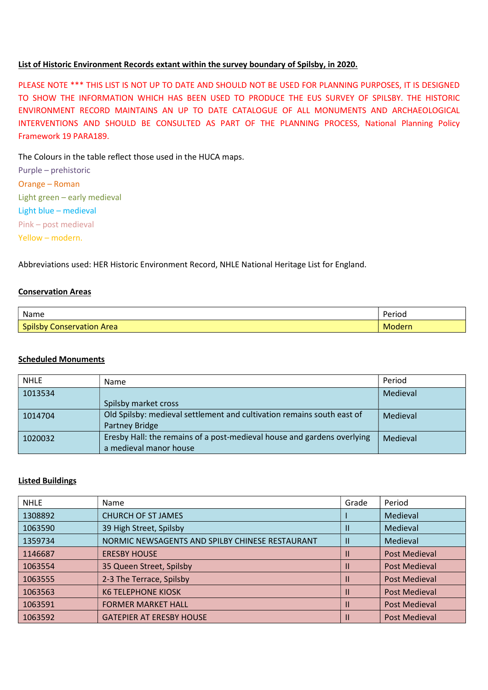## List of Historic Environment Records extant within the survey boundary of Spilsby, in 2020.

PLEASE NOTE \*\*\* THIS LIST IS NOT UP TO DATE AND SHOULD NOT BE USED FOR PLANNING PURPOSES, IT IS DESIGNED TO SHOW THE INFORMATION WHICH HAS BEEN USED TO PRODUCE THE EUS SURVEY OF SPILSBY. THE HISTORIC ENVIRONMENT RECORD MAINTAINS AN UP TO DATE CATALOGUE OF ALL MONUMENTS AND ARCHAEOLOGICAL INTERVENTIONS AND SHOULD BE CONSULTED AS PART OF THE PLANNING PROCESS, National Planning Policy Framework 19 PARA189.

The Colours in the table reflect those used in the HUCA maps.

Purple – prehistoric Orange – Roman Light green – early medieval Light blue – medieval Pink – post medieval Yellow – modern.

Abbreviations used: HER Historic Environment Record, NHLE National Heritage List for England.

#### Conservation Areas

| Name                                       | Period |
|--------------------------------------------|--------|
| <b>Spilsby</b><br><b>Conservation Area</b> | Modern |

#### Scheduled Monuments

| <b>NHLE</b> | Name                                                                    | Period   |
|-------------|-------------------------------------------------------------------------|----------|
| 1013534     |                                                                         | Medieval |
|             | Spilsby market cross                                                    |          |
| 1014704     | Old Spilsby: medieval settlement and cultivation remains south east of  | Medieval |
|             | Partney Bridge                                                          |          |
| 1020032     | Eresby Hall: the remains of a post-medieval house and gardens overlying | Medieval |
|             | a medieval manor house                                                  |          |

## Listed Buildings

| <b>NHLE</b> | Name                                            | Grade        | Period               |
|-------------|-------------------------------------------------|--------------|----------------------|
| 1308892     | <b>CHURCH OF ST JAMES</b>                       |              | Medieval             |
| 1063590     | 39 High Street, Spilsby                         | Ш            | Medieval             |
| 1359734     | NORMIC NEWSAGENTS AND SPILBY CHINESE RESTAURANT | $\mathbf{H}$ | Medieval             |
| 1146687     | <b>ERESBY HOUSE</b>                             | $\mathbf{I}$ | <b>Post Medieval</b> |
| 1063554     | 35 Queen Street, Spilsby                        | Ш            | <b>Post Medieval</b> |
| 1063555     | 2-3 The Terrace, Spilsby                        | Ш            | <b>Post Medieval</b> |
| 1063563     | <b>K6 TELEPHONE KIOSK</b>                       | Ш            | <b>Post Medieval</b> |
| 1063591     | <b>FORMER MARKET HALL</b>                       | Ш            | <b>Post Medieval</b> |
| 1063592     | <b>GATEPIER AT ERESBY HOUSE</b>                 |              | <b>Post Medieval</b> |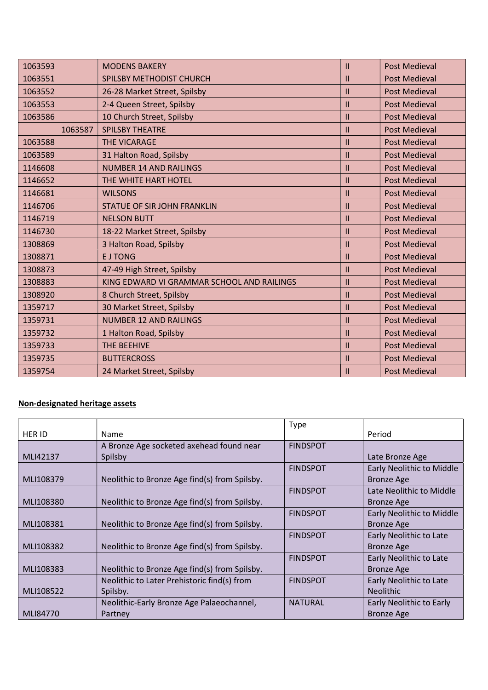| 1063593 | <b>MODENS BAKERY</b>                       | Ш             | <b>Post Medieval</b> |
|---------|--------------------------------------------|---------------|----------------------|
| 1063551 | SPILSBY METHODIST CHURCH                   | $\mathbf{II}$ | <b>Post Medieval</b> |
| 1063552 | 26-28 Market Street, Spilsby               | Ш             | <b>Post Medieval</b> |
| 1063553 | 2-4 Queen Street, Spilsby                  | $\mathbf{H}$  | <b>Post Medieval</b> |
| 1063586 | 10 Church Street, Spilsby                  | $\mathbf{H}$  | <b>Post Medieval</b> |
| 1063587 | <b>SPILSBY THEATRE</b>                     | $\mathbf{H}$  | <b>Post Medieval</b> |
| 1063588 | <b>THE VICARAGE</b>                        | $\mathbf{H}$  | <b>Post Medieval</b> |
| 1063589 | 31 Halton Road, Spilsby                    | $\mathbf{H}$  | <b>Post Medieval</b> |
| 1146608 | <b>NUMBER 14 AND RAILINGS</b>              | Ш             | <b>Post Medieval</b> |
| 1146652 | THE WHITE HART HOTEL                       | $\mathbf{H}$  | <b>Post Medieval</b> |
| 1146681 | <b>WILSONS</b>                             | $\mathbf{H}$  | <b>Post Medieval</b> |
| 1146706 | <b>STATUE OF SIR JOHN FRANKLIN</b>         | $\mathbf{H}$  | <b>Post Medieval</b> |
| 1146719 | <b>NELSON BUTT</b>                         | $\mathbf{H}$  | <b>Post Medieval</b> |
| 1146730 | 18-22 Market Street, Spilsby               | Ш             | <b>Post Medieval</b> |
| 1308869 | 3 Halton Road, Spilsby                     | $\mathbf{H}$  | <b>Post Medieval</b> |
| 1308871 | <b>EJTONG</b>                              | $\mathbf{II}$ | <b>Post Medieval</b> |
| 1308873 | 47-49 High Street, Spilsby                 | Ш             | <b>Post Medieval</b> |
| 1308883 | KING EDWARD VI GRAMMAR SCHOOL AND RAILINGS | $\mathbf{H}$  | <b>Post Medieval</b> |
| 1308920 | 8 Church Street, Spilsby                   | $\mathbf{H}$  | <b>Post Medieval</b> |
| 1359717 | 30 Market Street, Spilsby                  | $\mathbf{H}$  | <b>Post Medieval</b> |
| 1359731 | <b>NUMBER 12 AND RAILINGS</b>              | $\mathbf{H}$  | <b>Post Medieval</b> |
| 1359732 | 1 Halton Road, Spilsby                     | $\mathbf{H}$  | <b>Post Medieval</b> |
| 1359733 | THE BEEHIVE                                | $\mathbf{H}$  | <b>Post Medieval</b> |
| 1359735 | <b>BUTTERCROSS</b>                         | $\mathbf{H}$  | <b>Post Medieval</b> |
| 1359754 | 24 Market Street, Spilsby                  | Ш             | <b>Post Medieval</b> |

# Non-designated heritage assets

|               |                                               | <b>Type</b>     |                                  |
|---------------|-----------------------------------------------|-----------------|----------------------------------|
| <b>HER ID</b> | <b>Name</b>                                   |                 | Period                           |
|               | A Bronze Age socketed axehead found near      | <b>FINDSPOT</b> |                                  |
| MLI42137      | Spilsby                                       |                 | Late Bronze Age                  |
|               |                                               | <b>FINDSPOT</b> | <b>Early Neolithic to Middle</b> |
| MLI108379     | Neolithic to Bronze Age find(s) from Spilsby. |                 | <b>Bronze Age</b>                |
|               |                                               | <b>FINDSPOT</b> | Late Neolithic to Middle         |
| MLI108380     | Neolithic to Bronze Age find(s) from Spilsby. |                 | <b>Bronze Age</b>                |
|               |                                               | <b>FINDSPOT</b> | <b>Early Neolithic to Middle</b> |
| MLI108381     | Neolithic to Bronze Age find(s) from Spilsby. |                 | <b>Bronze Age</b>                |
|               |                                               | <b>FINDSPOT</b> | Early Neolithic to Late          |
| MLI108382     | Neolithic to Bronze Age find(s) from Spilsby. |                 | <b>Bronze Age</b>                |
|               |                                               | <b>FINDSPOT</b> | Early Neolithic to Late          |
| MLI108383     | Neolithic to Bronze Age find(s) from Spilsby. |                 | <b>Bronze Age</b>                |
|               | Neolithic to Later Prehistoric find(s) from   | <b>FINDSPOT</b> | Early Neolithic to Late          |
| MLI108522     | Spilsby.                                      |                 | <b>Neolithic</b>                 |
|               | Neolithic-Early Bronze Age Palaeochannel,     | <b>NATURAL</b>  | Early Neolithic to Early         |
| MLI84770      | Partney                                       |                 | <b>Bronze Age</b>                |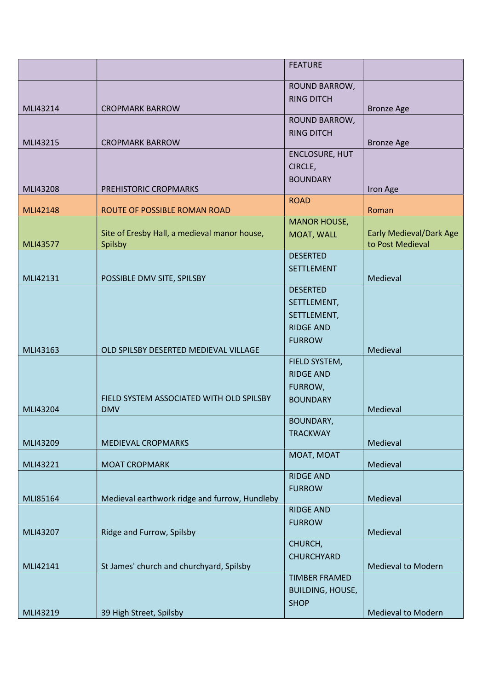|          |                                                        | <b>FEATURE</b>          |                                |
|----------|--------------------------------------------------------|-------------------------|--------------------------------|
|          |                                                        | ROUND BARROW,           |                                |
|          |                                                        | <b>RING DITCH</b>       |                                |
| MLI43214 | <b>CROPMARK BARROW</b>                                 |                         | <b>Bronze Age</b>              |
|          |                                                        | ROUND BARROW,           |                                |
| MLI43215 | <b>CROPMARK BARROW</b>                                 | <b>RING DITCH</b>       | <b>Bronze Age</b>              |
|          |                                                        | <b>ENCLOSURE, HUT</b>   |                                |
|          |                                                        | CIRCLE,                 |                                |
|          |                                                        | <b>BOUNDARY</b>         |                                |
| MLI43208 | PREHISTORIC CROPMARKS                                  | <b>ROAD</b>             | Iron Age                       |
| MLI42148 | ROUTE OF POSSIBLE ROMAN ROAD                           |                         | Roman                          |
|          |                                                        | <b>MANOR HOUSE,</b>     |                                |
|          | Site of Eresby Hall, a medieval manor house,           | MOAT, WALL              | <b>Early Medieval/Dark Age</b> |
| MLI43577 | Spilsby                                                | <b>DESERTED</b>         | to Post Medieval               |
|          |                                                        | <b>SETTLEMENT</b>       |                                |
| MLI42131 | POSSIBLE DMV SITE, SPILSBY                             |                         | Medieval                       |
|          |                                                        | <b>DESERTED</b>         |                                |
|          |                                                        | SETTLEMENT,             |                                |
|          |                                                        | SETTLEMENT,             |                                |
|          |                                                        | <b>RIDGE AND</b>        |                                |
| MLI43163 | OLD SPILSBY DESERTED MEDIEVAL VILLAGE                  | <b>FURROW</b>           | Medieval                       |
|          |                                                        | FIELD SYSTEM,           |                                |
|          |                                                        | <b>RIDGE AND</b>        |                                |
|          |                                                        | FURROW,                 |                                |
| MLI43204 | FIELD SYSTEM ASSOCIATED WITH OLD SPILSBY<br><b>DMV</b> | <b>BOUNDARY</b>         | Medieval                       |
|          |                                                        | <b>BOUNDARY,</b>        |                                |
|          |                                                        | <b>TRACKWAY</b>         |                                |
| MLI43209 | MEDIEVAL CROPMARKS                                     |                         | Medieval                       |
| MLI43221 | <b>MOAT CROPMARK</b>                                   | MOAT, MOAT              | Medieval                       |
|          |                                                        | <b>RIDGE AND</b>        |                                |
|          |                                                        | <b>FURROW</b>           |                                |
| MLI85164 | Medieval earthwork ridge and furrow, Hundleby          |                         | Medieval                       |
|          |                                                        | <b>RIDGE AND</b>        |                                |
| MLI43207 | Ridge and Furrow, Spilsby                              | <b>FURROW</b>           | Medieval                       |
|          |                                                        | CHURCH,                 |                                |
|          |                                                        | CHURCHYARD              |                                |
| MLI42141 | St James' church and churchyard, Spilsby               | <b>TIMBER FRAMED</b>    | <b>Medieval to Modern</b>      |
|          |                                                        | <b>BUILDING, HOUSE,</b> |                                |
|          |                                                        | <b>SHOP</b>             |                                |
| MLI43219 | 39 High Street, Spilsby                                |                         | <b>Medieval to Modern</b>      |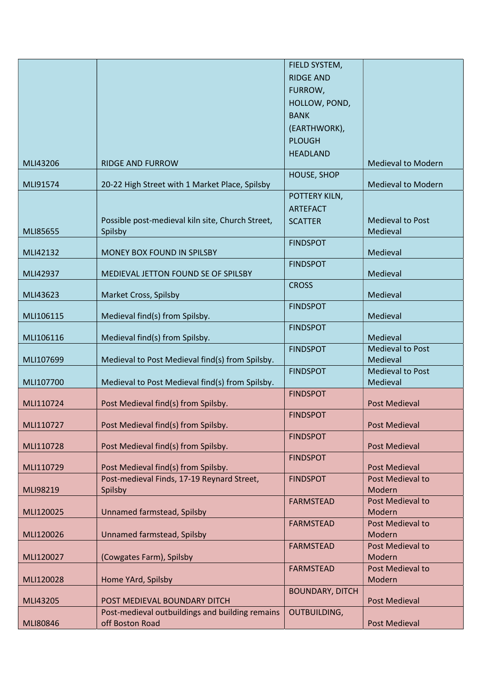|           |                                                  | FIELD SYSTEM,          |                           |
|-----------|--------------------------------------------------|------------------------|---------------------------|
|           |                                                  | <b>RIDGE AND</b>       |                           |
|           |                                                  | FURROW,                |                           |
|           |                                                  | HOLLOW, POND,          |                           |
|           |                                                  | <b>BANK</b>            |                           |
|           |                                                  | (EARTHWORK),           |                           |
|           |                                                  | <b>PLOUGH</b>          |                           |
|           |                                                  |                        |                           |
| MLI43206  | <b>RIDGE AND FURROW</b>                          | <b>HEADLAND</b>        | <b>Medieval to Modern</b> |
|           |                                                  | HOUSE, SHOP            |                           |
| MLI91574  | 20-22 High Street with 1 Market Place, Spilsby   |                        | <b>Medieval to Modern</b> |
|           |                                                  | POTTERY KILN,          |                           |
|           |                                                  | <b>ARTEFACT</b>        |                           |
|           | Possible post-medieval kiln site, Church Street, | <b>SCATTER</b>         | <b>Medieval to Post</b>   |
| MLI85655  | Spilsby                                          |                        | Medieval                  |
|           |                                                  | <b>FINDSPOT</b>        |                           |
| MLI42132  | MONEY BOX FOUND IN SPILSBY                       |                        | Medieval                  |
|           |                                                  | <b>FINDSPOT</b>        |                           |
| MLI42937  | MEDIEVAL JETTON FOUND SE OF SPILSBY              |                        | Medieval                  |
|           |                                                  | <b>CROSS</b>           |                           |
| MLI43623  | Market Cross, Spilsby                            |                        | Medieval                  |
|           |                                                  | <b>FINDSPOT</b>        |                           |
| MLI106115 | Medieval find(s) from Spilsby.                   |                        | Medieval                  |
| MLI106116 | Medieval find(s) from Spilsby.                   | <b>FINDSPOT</b>        | Medieval                  |
|           |                                                  | <b>FINDSPOT</b>        | <b>Medieval to Post</b>   |
| MLI107699 | Medieval to Post Medieval find(s) from Spilsby.  |                        | Medieval                  |
|           |                                                  | <b>FINDSPOT</b>        | <b>Medieval to Post</b>   |
| MLI107700 | Medieval to Post Medieval find(s) from Spilsby.  |                        | Medieval                  |
|           |                                                  | <b>FINDSPOT</b>        |                           |
| MLI110724 | Post Medieval find(s) from Spilsby.              |                        | <b>Post Medieval</b>      |
|           |                                                  | <b>FINDSPOT</b>        |                           |
| MLI110727 | Post Medieval find(s) from Spilsby.              |                        | <b>Post Medieval</b>      |
|           |                                                  | <b>FINDSPOT</b>        |                           |
| MLI110728 | Post Medieval find(s) from Spilsby.              |                        | <b>Post Medieval</b>      |
| MLI110729 | Post Medieval find(s) from Spilsby.              | <b>FINDSPOT</b>        | <b>Post Medieval</b>      |
|           | Post-medieval Finds, 17-19 Reynard Street,       | <b>FINDSPOT</b>        | Post Medieval to          |
| MLI98219  | Spilsby                                          |                        | Modern                    |
|           |                                                  | <b>FARMSTEAD</b>       | Post Medieval to          |
| MLI120025 | Unnamed farmstead, Spilsby                       |                        | Modern                    |
|           |                                                  | <b>FARMSTEAD</b>       | Post Medieval to          |
| MLI120026 | Unnamed farmstead, Spilsby                       |                        | Modern                    |
|           |                                                  | <b>FARMSTEAD</b>       | Post Medieval to          |
| MLI120027 | (Cowgates Farm), Spilsby                         |                        | Modern                    |
|           |                                                  | <b>FARMSTEAD</b>       | Post Medieval to          |
| MLI120028 | Home YArd, Spilsby                               |                        | Modern                    |
|           |                                                  | <b>BOUNDARY, DITCH</b> |                           |
| MLI43205  | POST MEDIEVAL BOUNDARY DITCH                     |                        | <b>Post Medieval</b>      |
|           | Post-medieval outbuildings and building remains  | <b>OUTBUILDING,</b>    |                           |
| MLI80846  | off Boston Road                                  |                        | <b>Post Medieval</b>      |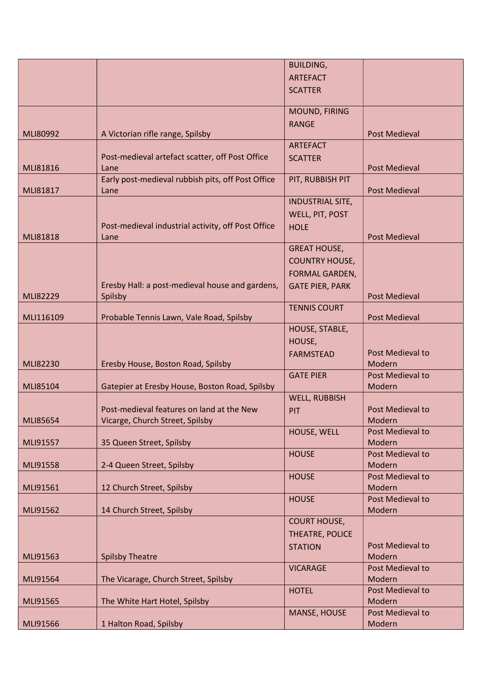| <b>ARTEFACT</b><br><b>SCATTER</b><br>MOUND, FIRING<br><b>RANGE</b><br>MLI80992<br>A Victorian rifle range, Spilsby<br><b>Post Medieval</b><br><b>ARTEFACT</b><br>Post-medieval artefact scatter, off Post Office<br><b>SCATTER</b><br>MLI81816<br><b>Post Medieval</b><br>Lane<br>Early post-medieval rubbish pits, off Post Office<br>PIT, RUBBISH PIT<br><b>Post Medieval</b><br>MLI81817<br>Lane<br><b>INDUSTRIAL SITE,</b><br>WELL, PIT, POST<br>Post-medieval industrial activity, off Post Office<br><b>HOLE</b><br>MLI81818<br><b>Post Medieval</b><br>Lane<br><b>GREAT HOUSE,</b><br><b>COUNTRY HOUSE,</b><br><b>FORMAL GARDEN,</b><br>Eresby Hall: a post-medieval house and gardens,<br><b>GATE PIER, PARK</b><br>MLI82229<br><b>Post Medieval</b><br>Spilsby<br><b>TENNIS COURT</b><br>MLI116109<br>Probable Tennis Lawn, Vale Road, Spilsby<br><b>Post Medieval</b><br>HOUSE, STABLE,<br>HOUSE,<br>Post Medieval to<br><b>FARMSTEAD</b><br>MLI82230<br>Eresby House, Boston Road, Spilsby<br>Modern<br><b>GATE PIER</b><br>Post Medieval to<br>MLI85104<br>Gatepier at Eresby House, Boston Road, Spilsby<br>Modern<br><b>WELL, RUBBISH</b><br>Post-medieval features on land at the New<br>Post Medieval to<br>PIT<br><b>MLI85654</b><br>Vicarge, Church Street, Spilsby<br>Modern<br>HOUSE, WELL<br>Post Medieval to<br>35 Queen Street, Spilsby<br>Modern<br>MLI91557<br>Post Medieval to<br><b>HOUSE</b><br>2-4 Queen Street, Spilsby<br>Modern<br>MLI91558<br><b>HOUSE</b><br>Post Medieval to<br>MLI91561<br>12 Church Street, Spilsby<br>Modern<br><b>HOUSE</b><br>Post Medieval to<br>14 Church Street, Spilsby<br>Modern<br>MLI91562<br><b>COURT HOUSE,</b><br>THEATRE, POLICE<br>Post Medieval to<br><b>STATION</b><br>MLI91563<br><b>Spilsby Theatre</b><br>Modern<br>Post Medieval to<br><b>VICARAGE</b><br>The Vicarage, Church Street, Spilsby<br>Modern<br>MLI91564<br>Post Medieval to<br><b>HOTEL</b><br>The White Hart Hotel, Spilsby<br>Modern<br>MLI91565<br>Post Medieval to<br><b>MANSE, HOUSE</b><br>1 Halton Road, Spilsby<br>MLI91566<br>Modern |  | <b>BUILDING,</b> |  |
|--------------------------------------------------------------------------------------------------------------------------------------------------------------------------------------------------------------------------------------------------------------------------------------------------------------------------------------------------------------------------------------------------------------------------------------------------------------------------------------------------------------------------------------------------------------------------------------------------------------------------------------------------------------------------------------------------------------------------------------------------------------------------------------------------------------------------------------------------------------------------------------------------------------------------------------------------------------------------------------------------------------------------------------------------------------------------------------------------------------------------------------------------------------------------------------------------------------------------------------------------------------------------------------------------------------------------------------------------------------------------------------------------------------------------------------------------------------------------------------------------------------------------------------------------------------------------------------------------------------------------------------------------------------------------------------------------------------------------------------------------------------------------------------------------------------------------------------------------------------------------------------------------------------------------------------------------------------------------------------------------------------------------------------------------------------------------------------|--|------------------|--|
|                                                                                                                                                                                                                                                                                                                                                                                                                                                                                                                                                                                                                                                                                                                                                                                                                                                                                                                                                                                                                                                                                                                                                                                                                                                                                                                                                                                                                                                                                                                                                                                                                                                                                                                                                                                                                                                                                                                                                                                                                                                                                      |  |                  |  |
|                                                                                                                                                                                                                                                                                                                                                                                                                                                                                                                                                                                                                                                                                                                                                                                                                                                                                                                                                                                                                                                                                                                                                                                                                                                                                                                                                                                                                                                                                                                                                                                                                                                                                                                                                                                                                                                                                                                                                                                                                                                                                      |  |                  |  |
|                                                                                                                                                                                                                                                                                                                                                                                                                                                                                                                                                                                                                                                                                                                                                                                                                                                                                                                                                                                                                                                                                                                                                                                                                                                                                                                                                                                                                                                                                                                                                                                                                                                                                                                                                                                                                                                                                                                                                                                                                                                                                      |  |                  |  |
|                                                                                                                                                                                                                                                                                                                                                                                                                                                                                                                                                                                                                                                                                                                                                                                                                                                                                                                                                                                                                                                                                                                                                                                                                                                                                                                                                                                                                                                                                                                                                                                                                                                                                                                                                                                                                                                                                                                                                                                                                                                                                      |  |                  |  |
|                                                                                                                                                                                                                                                                                                                                                                                                                                                                                                                                                                                                                                                                                                                                                                                                                                                                                                                                                                                                                                                                                                                                                                                                                                                                                                                                                                                                                                                                                                                                                                                                                                                                                                                                                                                                                                                                                                                                                                                                                                                                                      |  |                  |  |
|                                                                                                                                                                                                                                                                                                                                                                                                                                                                                                                                                                                                                                                                                                                                                                                                                                                                                                                                                                                                                                                                                                                                                                                                                                                                                                                                                                                                                                                                                                                                                                                                                                                                                                                                                                                                                                                                                                                                                                                                                                                                                      |  |                  |  |
|                                                                                                                                                                                                                                                                                                                                                                                                                                                                                                                                                                                                                                                                                                                                                                                                                                                                                                                                                                                                                                                                                                                                                                                                                                                                                                                                                                                                                                                                                                                                                                                                                                                                                                                                                                                                                                                                                                                                                                                                                                                                                      |  |                  |  |
|                                                                                                                                                                                                                                                                                                                                                                                                                                                                                                                                                                                                                                                                                                                                                                                                                                                                                                                                                                                                                                                                                                                                                                                                                                                                                                                                                                                                                                                                                                                                                                                                                                                                                                                                                                                                                                                                                                                                                                                                                                                                                      |  |                  |  |
|                                                                                                                                                                                                                                                                                                                                                                                                                                                                                                                                                                                                                                                                                                                                                                                                                                                                                                                                                                                                                                                                                                                                                                                                                                                                                                                                                                                                                                                                                                                                                                                                                                                                                                                                                                                                                                                                                                                                                                                                                                                                                      |  |                  |  |
|                                                                                                                                                                                                                                                                                                                                                                                                                                                                                                                                                                                                                                                                                                                                                                                                                                                                                                                                                                                                                                                                                                                                                                                                                                                                                                                                                                                                                                                                                                                                                                                                                                                                                                                                                                                                                                                                                                                                                                                                                                                                                      |  |                  |  |
|                                                                                                                                                                                                                                                                                                                                                                                                                                                                                                                                                                                                                                                                                                                                                                                                                                                                                                                                                                                                                                                                                                                                                                                                                                                                                                                                                                                                                                                                                                                                                                                                                                                                                                                                                                                                                                                                                                                                                                                                                                                                                      |  |                  |  |
|                                                                                                                                                                                                                                                                                                                                                                                                                                                                                                                                                                                                                                                                                                                                                                                                                                                                                                                                                                                                                                                                                                                                                                                                                                                                                                                                                                                                                                                                                                                                                                                                                                                                                                                                                                                                                                                                                                                                                                                                                                                                                      |  |                  |  |
|                                                                                                                                                                                                                                                                                                                                                                                                                                                                                                                                                                                                                                                                                                                                                                                                                                                                                                                                                                                                                                                                                                                                                                                                                                                                                                                                                                                                                                                                                                                                                                                                                                                                                                                                                                                                                                                                                                                                                                                                                                                                                      |  |                  |  |
|                                                                                                                                                                                                                                                                                                                                                                                                                                                                                                                                                                                                                                                                                                                                                                                                                                                                                                                                                                                                                                                                                                                                                                                                                                                                                                                                                                                                                                                                                                                                                                                                                                                                                                                                                                                                                                                                                                                                                                                                                                                                                      |  |                  |  |
|                                                                                                                                                                                                                                                                                                                                                                                                                                                                                                                                                                                                                                                                                                                                                                                                                                                                                                                                                                                                                                                                                                                                                                                                                                                                                                                                                                                                                                                                                                                                                                                                                                                                                                                                                                                                                                                                                                                                                                                                                                                                                      |  |                  |  |
|                                                                                                                                                                                                                                                                                                                                                                                                                                                                                                                                                                                                                                                                                                                                                                                                                                                                                                                                                                                                                                                                                                                                                                                                                                                                                                                                                                                                                                                                                                                                                                                                                                                                                                                                                                                                                                                                                                                                                                                                                                                                                      |  |                  |  |
|                                                                                                                                                                                                                                                                                                                                                                                                                                                                                                                                                                                                                                                                                                                                                                                                                                                                                                                                                                                                                                                                                                                                                                                                                                                                                                                                                                                                                                                                                                                                                                                                                                                                                                                                                                                                                                                                                                                                                                                                                                                                                      |  |                  |  |
|                                                                                                                                                                                                                                                                                                                                                                                                                                                                                                                                                                                                                                                                                                                                                                                                                                                                                                                                                                                                                                                                                                                                                                                                                                                                                                                                                                                                                                                                                                                                                                                                                                                                                                                                                                                                                                                                                                                                                                                                                                                                                      |  |                  |  |
|                                                                                                                                                                                                                                                                                                                                                                                                                                                                                                                                                                                                                                                                                                                                                                                                                                                                                                                                                                                                                                                                                                                                                                                                                                                                                                                                                                                                                                                                                                                                                                                                                                                                                                                                                                                                                                                                                                                                                                                                                                                                                      |  |                  |  |
|                                                                                                                                                                                                                                                                                                                                                                                                                                                                                                                                                                                                                                                                                                                                                                                                                                                                                                                                                                                                                                                                                                                                                                                                                                                                                                                                                                                                                                                                                                                                                                                                                                                                                                                                                                                                                                                                                                                                                                                                                                                                                      |  |                  |  |
|                                                                                                                                                                                                                                                                                                                                                                                                                                                                                                                                                                                                                                                                                                                                                                                                                                                                                                                                                                                                                                                                                                                                                                                                                                                                                                                                                                                                                                                                                                                                                                                                                                                                                                                                                                                                                                                                                                                                                                                                                                                                                      |  |                  |  |
|                                                                                                                                                                                                                                                                                                                                                                                                                                                                                                                                                                                                                                                                                                                                                                                                                                                                                                                                                                                                                                                                                                                                                                                                                                                                                                                                                                                                                                                                                                                                                                                                                                                                                                                                                                                                                                                                                                                                                                                                                                                                                      |  |                  |  |
|                                                                                                                                                                                                                                                                                                                                                                                                                                                                                                                                                                                                                                                                                                                                                                                                                                                                                                                                                                                                                                                                                                                                                                                                                                                                                                                                                                                                                                                                                                                                                                                                                                                                                                                                                                                                                                                                                                                                                                                                                                                                                      |  |                  |  |
|                                                                                                                                                                                                                                                                                                                                                                                                                                                                                                                                                                                                                                                                                                                                                                                                                                                                                                                                                                                                                                                                                                                                                                                                                                                                                                                                                                                                                                                                                                                                                                                                                                                                                                                                                                                                                                                                                                                                                                                                                                                                                      |  |                  |  |
|                                                                                                                                                                                                                                                                                                                                                                                                                                                                                                                                                                                                                                                                                                                                                                                                                                                                                                                                                                                                                                                                                                                                                                                                                                                                                                                                                                                                                                                                                                                                                                                                                                                                                                                                                                                                                                                                                                                                                                                                                                                                                      |  |                  |  |
|                                                                                                                                                                                                                                                                                                                                                                                                                                                                                                                                                                                                                                                                                                                                                                                                                                                                                                                                                                                                                                                                                                                                                                                                                                                                                                                                                                                                                                                                                                                                                                                                                                                                                                                                                                                                                                                                                                                                                                                                                                                                                      |  |                  |  |
|                                                                                                                                                                                                                                                                                                                                                                                                                                                                                                                                                                                                                                                                                                                                                                                                                                                                                                                                                                                                                                                                                                                                                                                                                                                                                                                                                                                                                                                                                                                                                                                                                                                                                                                                                                                                                                                                                                                                                                                                                                                                                      |  |                  |  |
|                                                                                                                                                                                                                                                                                                                                                                                                                                                                                                                                                                                                                                                                                                                                                                                                                                                                                                                                                                                                                                                                                                                                                                                                                                                                                                                                                                                                                                                                                                                                                                                                                                                                                                                                                                                                                                                                                                                                                                                                                                                                                      |  |                  |  |
|                                                                                                                                                                                                                                                                                                                                                                                                                                                                                                                                                                                                                                                                                                                                                                                                                                                                                                                                                                                                                                                                                                                                                                                                                                                                                                                                                                                                                                                                                                                                                                                                                                                                                                                                                                                                                                                                                                                                                                                                                                                                                      |  |                  |  |
|                                                                                                                                                                                                                                                                                                                                                                                                                                                                                                                                                                                                                                                                                                                                                                                                                                                                                                                                                                                                                                                                                                                                                                                                                                                                                                                                                                                                                                                                                                                                                                                                                                                                                                                                                                                                                                                                                                                                                                                                                                                                                      |  |                  |  |
|                                                                                                                                                                                                                                                                                                                                                                                                                                                                                                                                                                                                                                                                                                                                                                                                                                                                                                                                                                                                                                                                                                                                                                                                                                                                                                                                                                                                                                                                                                                                                                                                                                                                                                                                                                                                                                                                                                                                                                                                                                                                                      |  |                  |  |
|                                                                                                                                                                                                                                                                                                                                                                                                                                                                                                                                                                                                                                                                                                                                                                                                                                                                                                                                                                                                                                                                                                                                                                                                                                                                                                                                                                                                                                                                                                                                                                                                                                                                                                                                                                                                                                                                                                                                                                                                                                                                                      |  |                  |  |
|                                                                                                                                                                                                                                                                                                                                                                                                                                                                                                                                                                                                                                                                                                                                                                                                                                                                                                                                                                                                                                                                                                                                                                                                                                                                                                                                                                                                                                                                                                                                                                                                                                                                                                                                                                                                                                                                                                                                                                                                                                                                                      |  |                  |  |
|                                                                                                                                                                                                                                                                                                                                                                                                                                                                                                                                                                                                                                                                                                                                                                                                                                                                                                                                                                                                                                                                                                                                                                                                                                                                                                                                                                                                                                                                                                                                                                                                                                                                                                                                                                                                                                                                                                                                                                                                                                                                                      |  |                  |  |
|                                                                                                                                                                                                                                                                                                                                                                                                                                                                                                                                                                                                                                                                                                                                                                                                                                                                                                                                                                                                                                                                                                                                                                                                                                                                                                                                                                                                                                                                                                                                                                                                                                                                                                                                                                                                                                                                                                                                                                                                                                                                                      |  |                  |  |
|                                                                                                                                                                                                                                                                                                                                                                                                                                                                                                                                                                                                                                                                                                                                                                                                                                                                                                                                                                                                                                                                                                                                                                                                                                                                                                                                                                                                                                                                                                                                                                                                                                                                                                                                                                                                                                                                                                                                                                                                                                                                                      |  |                  |  |
|                                                                                                                                                                                                                                                                                                                                                                                                                                                                                                                                                                                                                                                                                                                                                                                                                                                                                                                                                                                                                                                                                                                                                                                                                                                                                                                                                                                                                                                                                                                                                                                                                                                                                                                                                                                                                                                                                                                                                                                                                                                                                      |  |                  |  |
|                                                                                                                                                                                                                                                                                                                                                                                                                                                                                                                                                                                                                                                                                                                                                                                                                                                                                                                                                                                                                                                                                                                                                                                                                                                                                                                                                                                                                                                                                                                                                                                                                                                                                                                                                                                                                                                                                                                                                                                                                                                                                      |  |                  |  |
|                                                                                                                                                                                                                                                                                                                                                                                                                                                                                                                                                                                                                                                                                                                                                                                                                                                                                                                                                                                                                                                                                                                                                                                                                                                                                                                                                                                                                                                                                                                                                                                                                                                                                                                                                                                                                                                                                                                                                                                                                                                                                      |  |                  |  |
|                                                                                                                                                                                                                                                                                                                                                                                                                                                                                                                                                                                                                                                                                                                                                                                                                                                                                                                                                                                                                                                                                                                                                                                                                                                                                                                                                                                                                                                                                                                                                                                                                                                                                                                                                                                                                                                                                                                                                                                                                                                                                      |  |                  |  |
|                                                                                                                                                                                                                                                                                                                                                                                                                                                                                                                                                                                                                                                                                                                                                                                                                                                                                                                                                                                                                                                                                                                                                                                                                                                                                                                                                                                                                                                                                                                                                                                                                                                                                                                                                                                                                                                                                                                                                                                                                                                                                      |  |                  |  |
|                                                                                                                                                                                                                                                                                                                                                                                                                                                                                                                                                                                                                                                                                                                                                                                                                                                                                                                                                                                                                                                                                                                                                                                                                                                                                                                                                                                                                                                                                                                                                                                                                                                                                                                                                                                                                                                                                                                                                                                                                                                                                      |  |                  |  |
|                                                                                                                                                                                                                                                                                                                                                                                                                                                                                                                                                                                                                                                                                                                                                                                                                                                                                                                                                                                                                                                                                                                                                                                                                                                                                                                                                                                                                                                                                                                                                                                                                                                                                                                                                                                                                                                                                                                                                                                                                                                                                      |  |                  |  |
|                                                                                                                                                                                                                                                                                                                                                                                                                                                                                                                                                                                                                                                                                                                                                                                                                                                                                                                                                                                                                                                                                                                                                                                                                                                                                                                                                                                                                                                                                                                                                                                                                                                                                                                                                                                                                                                                                                                                                                                                                                                                                      |  |                  |  |
|                                                                                                                                                                                                                                                                                                                                                                                                                                                                                                                                                                                                                                                                                                                                                                                                                                                                                                                                                                                                                                                                                                                                                                                                                                                                                                                                                                                                                                                                                                                                                                                                                                                                                                                                                                                                                                                                                                                                                                                                                                                                                      |  |                  |  |
|                                                                                                                                                                                                                                                                                                                                                                                                                                                                                                                                                                                                                                                                                                                                                                                                                                                                                                                                                                                                                                                                                                                                                                                                                                                                                                                                                                                                                                                                                                                                                                                                                                                                                                                                                                                                                                                                                                                                                                                                                                                                                      |  |                  |  |
|                                                                                                                                                                                                                                                                                                                                                                                                                                                                                                                                                                                                                                                                                                                                                                                                                                                                                                                                                                                                                                                                                                                                                                                                                                                                                                                                                                                                                                                                                                                                                                                                                                                                                                                                                                                                                                                                                                                                                                                                                                                                                      |  |                  |  |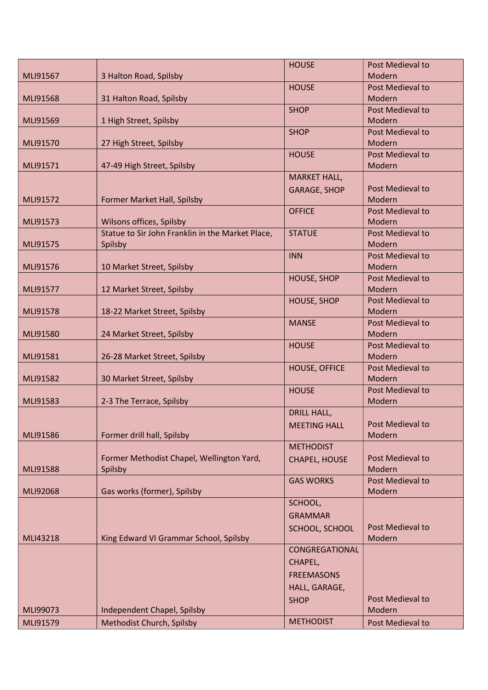|          |                                                  | <b>HOUSE</b>         | Post Medieval to |
|----------|--------------------------------------------------|----------------------|------------------|
| MLI91567 | 3 Halton Road, Spilsby                           |                      | Modern           |
|          |                                                  | <b>HOUSE</b>         | Post Medieval to |
| MLI91568 | 31 Halton Road, Spilsby                          |                      | Modern           |
|          |                                                  | <b>SHOP</b>          | Post Medieval to |
| MLI91569 | 1 High Street, Spilsby                           |                      | Modern           |
|          |                                                  | <b>SHOP</b>          | Post Medieval to |
| MLI91570 | 27 High Street, Spilsby                          |                      | Modern           |
|          |                                                  |                      | Post Medieval to |
|          |                                                  | <b>HOUSE</b>         |                  |
| MLI91571 | 47-49 High Street, Spilsby                       |                      | Modern           |
|          |                                                  | <b>MARKET HALL,</b>  |                  |
|          |                                                  | <b>GARAGE, SHOP</b>  | Post Medieval to |
| MLI91572 | Former Market Hall, Spilsby                      |                      | Modern           |
|          |                                                  | <b>OFFICE</b>        | Post Medieval to |
| MLI91573 | Wilsons offices, Spilsby                         |                      | Modern           |
|          | Statue to Sir John Franklin in the Market Place, | <b>STATUE</b>        | Post Medieval to |
| MLI91575 | Spilsby                                          |                      | Modern           |
|          |                                                  | <b>INN</b>           | Post Medieval to |
| MLI91576 | 10 Market Street, Spilsby                        |                      | Modern           |
|          |                                                  | <b>HOUSE, SHOP</b>   | Post Medieval to |
| MLI91577 | 12 Market Street, Spilsby                        |                      | Modern           |
|          |                                                  | <b>HOUSE, SHOP</b>   | Post Medieval to |
| MLI91578 | 18-22 Market Street, Spilsby                     |                      | Modern           |
|          |                                                  | <b>MANSE</b>         | Post Medieval to |
| MLI91580 | 24 Market Street, Spilsby                        |                      | Modern           |
|          |                                                  | <b>HOUSE</b>         | Post Medieval to |
| MLI91581 | 26-28 Market Street, Spilsby                     |                      | Modern           |
|          |                                                  | <b>HOUSE, OFFICE</b> | Post Medieval to |
| MLI91582 | 30 Market Street, Spilsby                        |                      | Modern           |
|          |                                                  |                      | Post Medieval to |
|          |                                                  | <b>HOUSE</b>         |                  |
| MLI91583 | 2-3 The Terrace, Spilsby                         |                      | Modern           |
|          |                                                  | <b>DRILL HALL,</b>   |                  |
|          |                                                  | <b>MEETING HALL</b>  | Post Medieval to |
| MLI91586 | Former drill hall, Spilsby                       |                      | Modern           |
|          |                                                  | <b>METHODIST</b>     |                  |
|          | Former Methodist Chapel, Wellington Yard,        | <b>CHAPEL, HOUSE</b> | Post Medieval to |
| MLI91588 | Spilsby                                          |                      | <b>Modern</b>    |
|          |                                                  | <b>GAS WORKS</b>     | Post Medieval to |
| MLI92068 | Gas works (former), Spilsby                      |                      | Modern           |
|          |                                                  | SCHOOL,              |                  |
|          |                                                  | <b>GRAMMAR</b>       |                  |
|          |                                                  | SCHOOL, SCHOOL       | Post Medieval to |
| MLI43218 | King Edward VI Grammar School, Spilsby           |                      | Modern           |
|          |                                                  | CONGREGATIONAL       |                  |
|          |                                                  | CHAPEL,              |                  |
|          |                                                  |                      |                  |
|          |                                                  | <b>FREEMASONS</b>    |                  |
|          |                                                  | HALL, GARAGE,        |                  |
|          |                                                  | <b>SHOP</b>          | Post Medieval to |
| MLI99073 | Independent Chapel, Spilsby                      |                      | Modern           |
| MLI91579 | Methodist Church, Spilsby                        | <b>METHODIST</b>     | Post Medieval to |